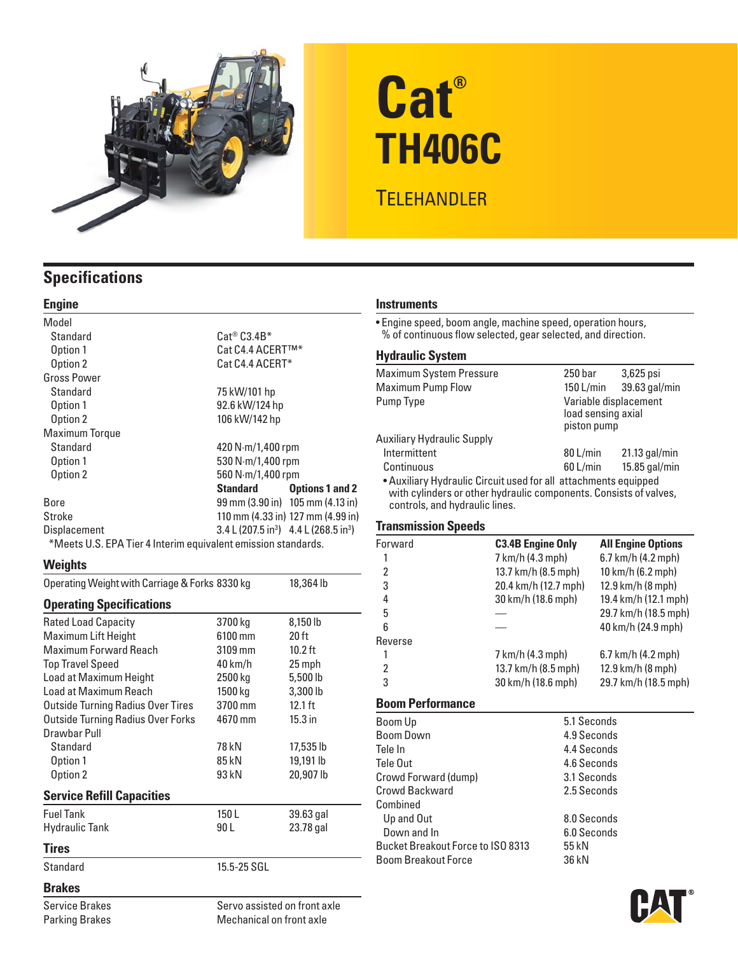

# **Cat® TH406C**

## **TELEHANDLER**

## **Specifications**

#### **Engine**

| Model                                                         |                                                                     |                                                      |  |  |
|---------------------------------------------------------------|---------------------------------------------------------------------|------------------------------------------------------|--|--|
| Standard                                                      | $\mathsf{Cat}^\circledast \mathsf{C3.4B}^*$                         |                                                      |  |  |
| Option 1                                                      | Cat C4.4 ACERT™*                                                    |                                                      |  |  |
| Option 2                                                      | Cat C4.4 ACERT*                                                     |                                                      |  |  |
| <b>Gross Power</b>                                            |                                                                     |                                                      |  |  |
| Standard                                                      | 75 kW/101 hp                                                        |                                                      |  |  |
| Option 1                                                      | 92.6 kW/124 hp                                                      |                                                      |  |  |
| Option 2                                                      | 106 kW/142 hp                                                       |                                                      |  |  |
| <b>Maximum Torque</b>                                         |                                                                     |                                                      |  |  |
| Standard                                                      | 420 $N·m/1,400$ rpm                                                 |                                                      |  |  |
| Option 1                                                      | 530 N·m/1,400 rpm                                                   |                                                      |  |  |
| Option 2                                                      | 560 N·m/1,400 rpm                                                   |                                                      |  |  |
|                                                               | Standard                                                            | <b>Options 1 and 2</b>                               |  |  |
| Bore                                                          |                                                                     | $99 \text{ mm}$ (3.90 in) $105 \text{ mm}$ (4.13 in) |  |  |
| Stroke                                                        |                                                                     | 110 mm (4.33 in) 127 mm (4.99 in)                    |  |  |
| <b>Displacement</b>                                           | $3.4 \text{ L} (207.5 \text{ in}^3)$ 4.4 L (268.5 in <sup>3</sup> ) |                                                      |  |  |
| *Meets U.S. EPA Tier 4 Interim equivalent emission standards. |                                                                     |                                                      |  |  |

#### **Weights**

Parking Brakes

| Operating Weight with Carriage & Forks 8330 kg |                              | 18,364 lb        |
|------------------------------------------------|------------------------------|------------------|
| <b>Operating Specifications</b>                |                              |                  |
| <b>Rated Load Capacity</b>                     | 3700 kg                      | 8,150 lb         |
| Maximum Lift Height                            | 6100 mm                      | 20 <sub>ft</sub> |
| <b>Maximum Forward Reach</b>                   | 3109 mm                      | $10.2$ ft        |
| <b>Top Travel Speed</b>                        | 40 km/h                      | 25 mph           |
| Load at Maximum Height                         | 2500 kg                      | 5,500 lb         |
| Load at Maximum Reach                          | 1500 kg                      | 3,300 lb         |
| <b>Outside Turning Radius Over Tires</b>       | 3700 mm                      | $12.1$ ft        |
| <b>Outside Turning Radius Over Forks</b>       | 4670 mm                      | $15.3$ in        |
| Drawbar Pull                                   |                              |                  |
| Standard                                       | 78 kN                        | 17,535 lb        |
| Option 1                                       | 85 kN                        | 19,191 lb        |
| Option 2                                       | 93 kN                        | 20,907 lb        |
| <b>Service Refill Capacities</b>               |                              |                  |
| <b>Fuel Tank</b>                               | 150L                         | 39.63 gal        |
| Hydraulic Tank                                 | 90 L                         | 23.78 gal        |
| <b>Tires</b>                                   |                              |                  |
| Standard                                       | 15.5-25 SGL                  |                  |
| <b>Brakes</b>                                  |                              |                  |
| <b>Service Brakes</b>                          | Servo assisted on front axle |                  |

Mechanical on front axle

#### **Instruments**

• Engine speed, boom angle, machine speed, operation hours, % of continuous flow selected, gear selected, and direction.

#### **Hydraulic System**

| <b>Maximum System Pressure</b>                                                                                                       | 250 bar                                                    | $3,625$ psi     |
|--------------------------------------------------------------------------------------------------------------------------------------|------------------------------------------------------------|-----------------|
| <b>Maximum Pump Flow</b>                                                                                                             | 150 L/min                                                  | 39.63 gal/min   |
| Pump Type                                                                                                                            | Variable displacement<br>load sensing axial<br>piston pump |                 |
| <b>Auxiliary Hydraulic Supply</b>                                                                                                    |                                                            |                 |
| Intermittent                                                                                                                         | 80 L/min                                                   | $21.13$ gal/min |
| Continuous                                                                                                                           | $60$ L/min                                                 | 15.85 gal/min   |
| • Auxiliary Hydraulic Circuit used for all attachments equipped<br>with cylinders or other hydraulic components. Consists of valves, |                                                            |                 |

#### **Transmission Speeds**

controls, and hydraulic lines.

| Forward        | <b>C3.4B Engine Only</b> | <b>All Engine Options</b> |
|----------------|--------------------------|---------------------------|
|                | 7 km/h (4.3 mph)         | 6.7 km/h (4.2 mph)        |
| 2              | 13.7 km/h (8.5 mph)      | 10 km/h (6.2 mph)         |
| 3              | 20.4 km/h (12.7 mph)     | 12.9 km/h (8 mph)         |
| 4              | 30 km/h (18.6 mph)       | 19.4 km/h (12.1 mph)      |
| 5              |                          | 29.7 km/h (18.5 mph)      |
| 6              |                          | 40 km/h (24.9 mph)        |
| Reverse        |                          |                           |
|                | 7 km/h (4.3 mph)         | 6.7 km/h (4.2 mph)        |
| $\overline{2}$ | 13.7 km/h (8.5 mph)      | 12.9 km/h (8 mph)         |
| 3              | 30 km/h (18.6 mph)       | 29.7 km/h (18.5 mph)      |
|                |                          |                           |

#### **Boom Performance**

| Boom Up                                  | 5.1 Seconds |  |
|------------------------------------------|-------------|--|
| <b>Boom Down</b>                         | 4.9 Seconds |  |
| Tele In                                  | 4.4 Seconds |  |
| Tele Out                                 | 4.6 Seconds |  |
| Crowd Forward (dump)                     | 3.1 Seconds |  |
| Crowd Backward                           | 2.5 Seconds |  |
| Combined                                 |             |  |
| Up and Out                               | 8.0 Seconds |  |
| Down and In                              | 6.0 Seconds |  |
| <b>Bucket Breakout Force to ISO 8313</b> | 55 kN       |  |
| <b>Boom Breakout Force</b>               | 36 kN       |  |
|                                          |             |  |